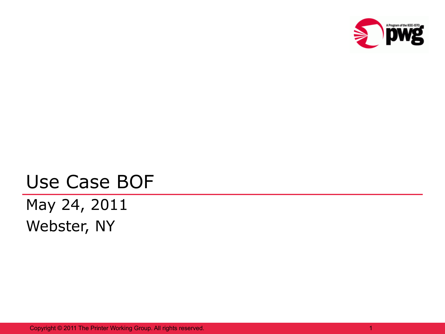

## Use Case BOF May 24, 2011 Webster, NY

Copyright © 2011 The Printer Working Group. All rights reserved.

1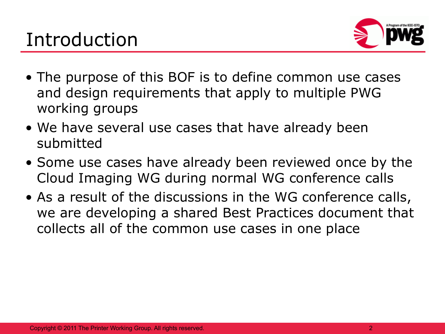

- The purpose of this BOF is to define common use cases and design requirements that apply to multiple PWG working groups
- We have several use cases that have already been submitted
- Some use cases have already been reviewed once by the Cloud Imaging WG during normal WG conference calls
- As a result of the discussions in the WG conference calls, we are developing a shared Best Practices document that collects all of the common use cases in one place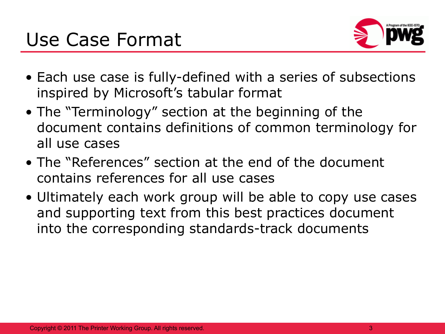## Use Case Format



- Each use case is fully-defined with a series of subsections inspired by Microsoft's tabular format
- The "Terminology" section at the beginning of the document contains definitions of common terminology for all use cases
- The "References" section at the end of the document contains references for all use cases
- Ultimately each work group will be able to copy use cases and supporting text from this best practices document into the corresponding standards-track documents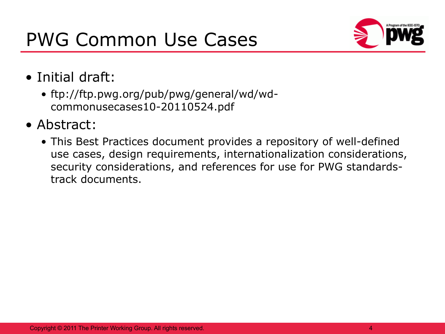## PWG Common Use Cases



- Initial draft:
	- ftp://ftp.pwg.org/pub/pwg/general/wd/wdcommonusecases10-20110524.pdf
- Abstract:
	- This Best Practices document provides a repository of well-defined use cases, design requirements, internationalization considerations, security considerations, and references for use for PWG standardstrack documents.